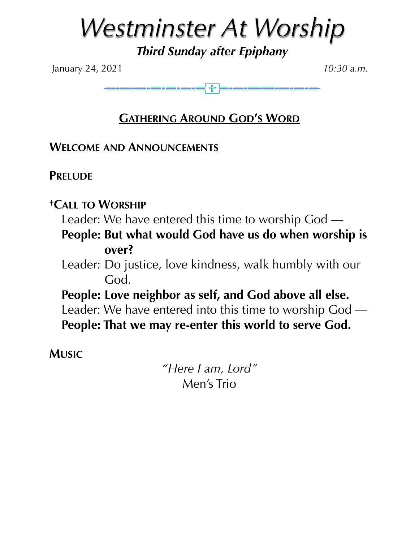# *Westminster At Worship*

*Third Sunday after Epiphany* 

January 24, 2021 *10:30 a.m.*

**GATHERING AROUND GOD'S WORD**

**WELCOME AND ANNOUNCEMENTS**

Ì

**PRELUDE** 

# **†CALL TO WORSHIP**

Leader: We have entered this time to worship God —

**People: But what would God have us do when worship is over?** 

Leader: Do justice, love kindness, walk humbly with our God.

**People: Love neighbor as self, and God above all else.**  Leader: We have entered into this time to worship God — **People: That we may re-enter this world to serve God.** 

**MUSIC**

*"Here I am, Lord"*  Men's Trio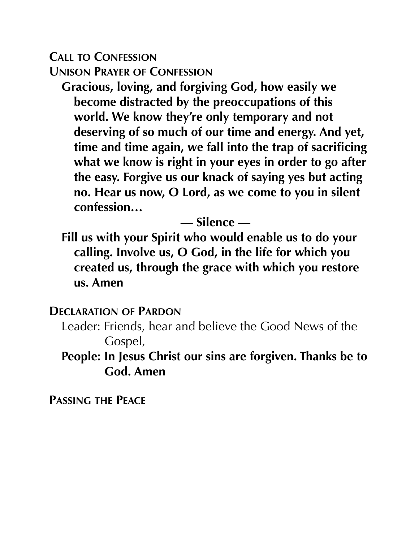# **CALL TO CONFESSION UNISON PRAYER OF CONFESSION**

**Gracious, loving, and forgiving God, how easily we become distracted by the preoccupations of this world. We know they're only temporary and not deserving of so much of our time and energy. And yet, time and time again, we fall into the trap of sacrificing what we know is right in your eyes in order to go after the easy. Forgive us our knack of saying yes but acting no. Hear us now, O Lord, as we come to you in silent confession…** 

# **— Silence —**

**Fill us with your Spirit who would enable us to do your calling. Involve us, O God, in the life for which you created us, through the grace with which you restore us. Amen**

## **DECLARATION OF PARDON**

Leader: Friends, hear and believe the Good News of the Gospel,

**People: In Jesus Christ our sins are forgiven. Thanks be to God. Amen** 

**PASSING THE PEACE**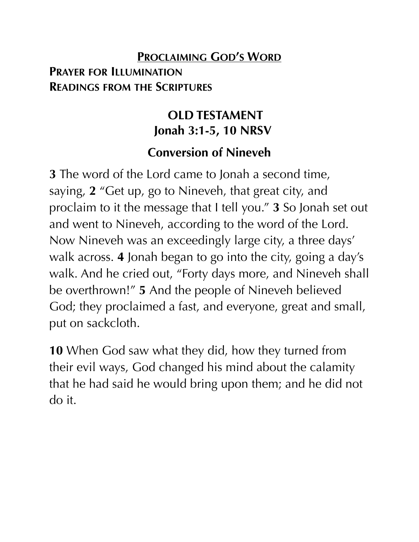# **PROCLAIMING GOD'S WORD PRAYER FOR ILLUMINATION READINGS FROM THE SCRIPTURES**

# **OLD TESTAMENT Jonah 3:1-5, 10 NRSV**

# **Conversion of Nineveh**

**3** The word of the Lord came to Jonah a second time, saying, **2** "Get up, go to Nineveh, that great city, and proclaim to it the message that I tell you." **3** So Jonah set out and went to Nineveh, according to the word of the Lord. Now Nineveh was an exceedingly large city, a three days' walk across. **4** Jonah began to go into the city, going a day's walk. And he cried out, "Forty days more, and Nineveh shall be overthrown!" **5** And the people of Nineveh believed God; they proclaimed a fast, and everyone, great and small, put on sackcloth.

**10** When God saw what they did, how they turned from their evil ways, God changed his mind about the calamity that he had said he would bring upon them; and he did not do it.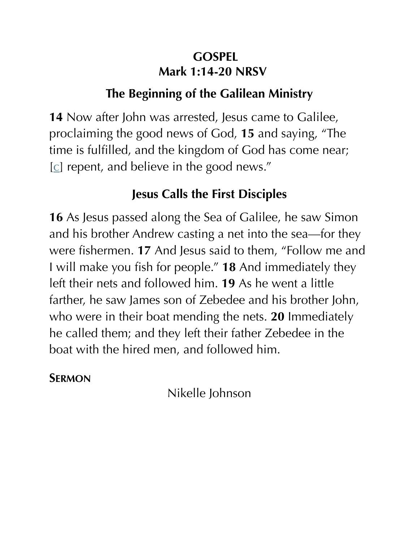# **GOSPEL Mark 1:14-20 NRSV**

# **The Beginning of the Galilean Ministry**

**14** Now after John was arrested, Jesus came to Galilee, proclaiming the good news of God, **15** and saying, "The time is fulfilled, and the kingdom of God has come near; [[c\]](https://www.biblegateway.com/passage/?search=Mark+1%3A14-20&version=NRSV#fen-NRSV-24228c) repent, and believe in the good news."

# **Jesus Calls the First Disciples**

**16** As Jesus passed along the Sea of Galilee, he saw Simon and his brother Andrew casting a net into the sea—for they were fishermen. **17** And Jesus said to them, "Follow me and I will make you fish for people." **18** And immediately they left their nets and followed him. **19** As he went a little farther, he saw James son of Zebedee and his brother John, who were in their boat mending the nets. **20** Immediately he called them; and they left their father Zebedee in the boat with the hired men, and followed him.

# **SERMON**

Nikelle Johnson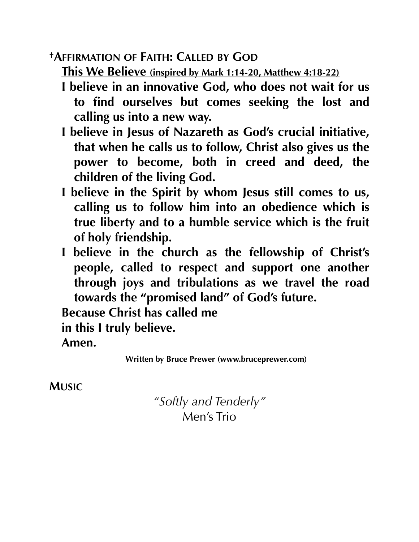## **†AFFIRMATION OF FAITH: CALLED BY GOD**

**This We Believe (inspired by Mark 1:14-20, Matthew 4:18-22)** 

- **I believe in an innovative God, who does not wait for us to find ourselves but comes seeking the lost and calling us into a new way.**
- **I believe in Jesus of Nazareth as God's crucial initiative, that when he calls us to follow, Christ also gives us the power to become, both in creed and deed, the children of the living God.**
- **I believe in the Spirit by whom Jesus still comes to us, calling us to follow him into an obedience which is true liberty and to a humble service which is the fruit of holy friendship.**
- **I believe in the church as the fellowship of Christ's people, called to respect and support one another through joys and tribulations as we travel the road towards the "promised land" of God's future.**

**Because Christ has called me** 

**in this I truly believe.** 

**Amen.** 

**MUSIC**

*"Softly and Tenderly"*  Men's Trio

**Written by Bruce Prewer (www.bruceprewer.com)**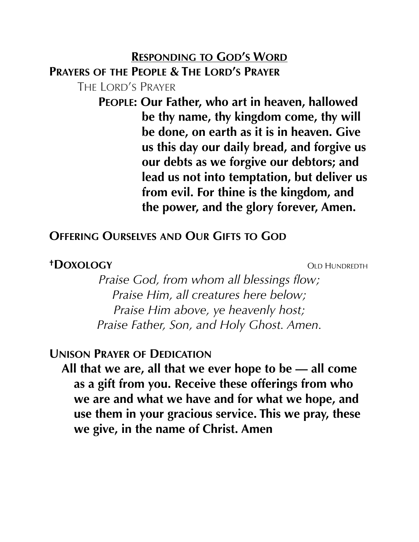### **RESPONDING TO GOD'S WORD**

**PRAYERS OF THE PEOPLE & THE LORD'S PRAYER**

THE LORD'S PRAYER

**PEOPLE: Our Father, who art in heaven, hallowed be thy name, thy kingdom come, thy will be done, on earth as it is in heaven. Give us this day our daily bread, and forgive us our debts as we forgive our debtors; and lead us not into temptation, but deliver us from evil. For thine is the kingdom, and the power, and the glory forever, Amen.** 

## **OFFERING OURSELVES AND OUR GIFTS TO GOD**

#### *†DOXOLOGY* OLD HUNDREDTH

*Praise God, from whom all blessings flow; Praise Him, all creatures here below; Praise Him above, ye heavenly host; Praise Father, Son, and Holy Ghost. Amen.* 

## **UNISON PRAYER OF DEDICATION**

**All that we are, all that we ever hope to be — all come as a gift from you. Receive these offerings from who we are and what we have and for what we hope, and use them in your gracious service. This we pray, these we give, in the name of Christ. Amen**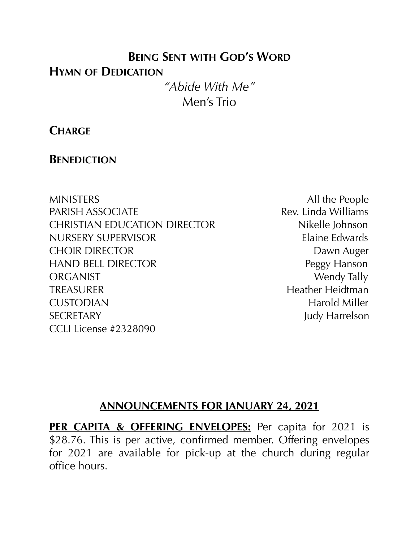## **BEING SENT WITH GOD'S WORD**

## **HYMN OF DEDICATION**

*"Abide With Me"*  Men's Trio

## **CHARGE**

## **BENEDICTION**

MINISTERS All the People PARISH ASSOCIATE Rev. Linda Williams CHRISTIAN EDUCATION DIRECTOR Nikelle Johnson NURSERY SUPERVISOR Elaine Edwards CHOIR DIRECTOR DAWN Auger HAND BELL DIRECTOR Peggy Hanson ORGANIST Wendy Tally TREASURER Heidtman CUSTODIAN Harold Miller SECRETARY Judy Harrelson CCLI License #2328090

## **ANNOUNCEMENTS FOR JANUARY 24, 2021**

**PER CAPITA & OFFERING ENVELOPES:** Per capita for 2021 is \$28.76. This is per active, confirmed member. Offering envelopes for 2021 are available for pick-up at the church during regular office hours.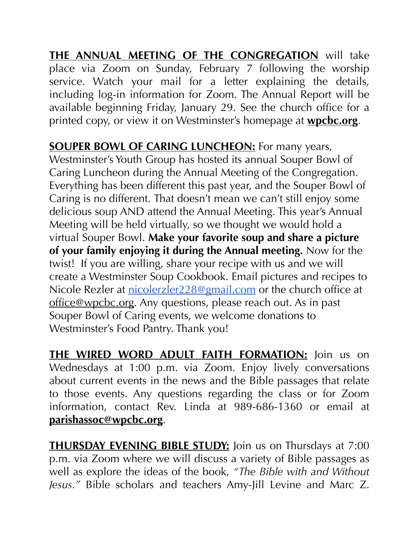**THE ANNUAL MEETING OF THE CONGREGATION** will take place via Zoom on Sunday, February 7 following the worship service. Watch your mail for a letter explaining the details, including log-in information for Zoom. The Annual Report will be available beginning Friday, January 29. See the church office for a printed copy, or view it on Westminster's homepage at **[wpcbc.org](http://wpcbc.org)**.

**SOUPER BOWL OF CARING LUNCHEON:** For many years, Westminster's Youth Group has hosted its annual Souper Bowl of Caring Luncheon during the Annual Meeting of the Congregation. Everything has been different this past year, and the Souper Bowl of Caring is no different. That doesn't mean we can't still enjoy some delicious soup AND attend the Annual Meeting. This year's Annual Meeting will be held virtually, so we thought we would hold a virtual Souper Bowl. **Make your favorite soup and share a picture of your family enjoying it during the Annual meeting.** Now for the twist! If you are willing, share your recipe with us and we will create a Westminster Soup Cookbook. Email pictures and recipes to Nicole Rezler at [nicolerzler228@gmail.com](mailto:nicolerzler228@gmail.com) or the church office at [office@wpcbc.org.](mailto:office@wpcbc.org) Any questions, please reach out. As in past Souper Bowl of Caring events, we welcome donations to Westminster's Food Pantry. Thank you!

**THE WIRED WORD ADULT FAITH FORMATION:** Join us on Wednesdays at 1:00 p.m. via Zoom. Enjoy lively conversations about current events in the news and the Bible passages that relate to those events. Any questions regarding the class or for Zoom information, contact Rev. Linda at 989-686-1360 or email at **[parishassoc@wpcbc.org](mailto:parishassoc@wpcbc.org)**.

**THURSDAY EVENING BIBLE STUDY:** Join us on Thursdays at 7:00 p.m. via Zoom where we will discuss a variety of Bible passages as well as explore the ideas of the book, *"The Bible with and Without Jesus."* Bible scholars and teachers Amy-Jill Levine and Marc Z.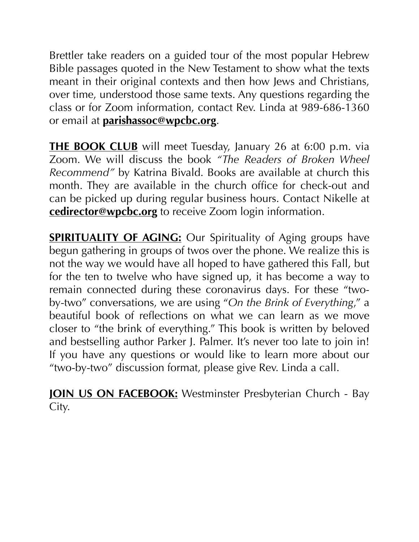Brettler take readers on a guided tour of the most popular Hebrew Bible passages quoted in the New Testament to show what the texts meant in their original contexts and then how Jews and Christians, over time, understood those same texts. Any questions regarding the class or for Zoom information, contact Rev. Linda at 989-686-1360 or email at **[parishassoc@wpcbc.org](mailto:parishassoc@wpcbc.org)**.

**THE BOOK CLUB** will meet Tuesday, January 26 at 6:00 p.m. via Zoom. We will discuss the book *"The Readers of Broken Wheel Recommend"* by Katrina Bivald. Books are available at church this month. They are available in the church office for check-out and can be picked up during regular business hours. Contact Nikelle at **[cedirector@wpcbc.org](mailto:cedirector@wpcbc.org)** to receive Zoom login information.

**SPIRITUALITY OF AGING:** Our Spirituality of Aging groups have begun gathering in groups of twos over the phone. We realize this is not the way we would have all hoped to have gathered this Fall, but for the ten to twelve who have signed up, it has become a way to remain connected during these coronavirus days. For these "twoby-two" conversations, we are using "*On the Brink of Everything*," a beautiful book of reflections on what we can learn as we move closer to "the brink of everything." This book is written by beloved and bestselling author Parker J. Palmer. It's never too late to join in! If you have any questions or would like to learn more about our "two-by-two" discussion format, please give Rev. Linda a call.

**JOIN US ON FACEBOOK:** Westminster Presbyterian Church - Bay City.